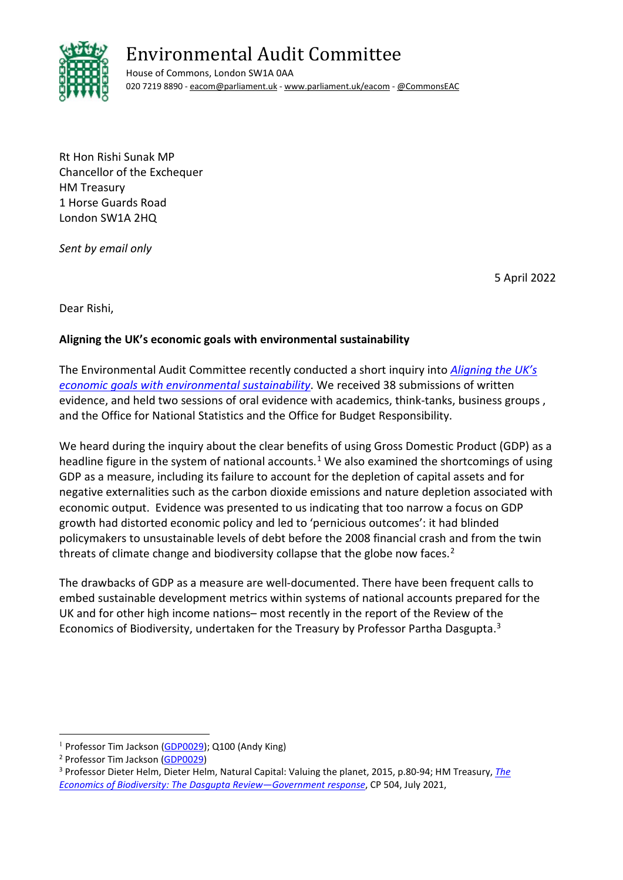

# Environmental Audit Committee

House of Commons, London SW1A 0AA 020 7219 8890 [- eacom@parliament.uk -](mailto:eacom@parliament.uk) [www.parliament.uk/eacom](http://www.parliament.uk/eacom) [- @CommonsEAC](https://twitter.com/CommonsEAC)

Rt Hon Rishi Sunak MP Chancellor of the Exchequer HM Treasury 1 Horse Guards Road London SW1A 2HQ

*Sent by email only*

5 April 2022

Dear Rishi,

## **Aligning the UK's economic goals with environmental sustainability**

The Environmental Audit Committee recently conducted a short inquiry into *[Aligning the UK's](https://committees.parliament.uk/work/1668/aligning-the-uks-economic-goals-with-environmental-sustainability/)  [economic goals with environmental sustainability](https://committees.parliament.uk/work/1668/aligning-the-uks-economic-goals-with-environmental-sustainability/)*. We received 38 submissions of written evidence, and held two sessions of oral evidence with academics, think-tanks, business groups, and the Office for National Statistics and the Office for Budget Responsibility.

We heard during the inquiry about the clear benefits of using Gross Domestic Product (GDP) as a headline figure in the system of national accounts.<sup>[1](#page-0-0)</sup> We also examined the shortcomings of using GDP as a measure, including its failure to account for the depletion of capital assets and for negative externalities such as the carbon dioxide emissions and nature depletion associated with economic output. Evidence was presented to us indicating that too narrow a focus on GDP growth had distorted economic policy and led to 'pernicious outcomes': it had blinded policymakers to unsustainable levels of debt before the 2008 financial crash and from the twin threats of climate change and biodiversity collapse that the globe now faces.<sup>2</sup>

The drawbacks of GDP as a measure are well-documented. There have been frequent calls to embed sustainable development metrics within systems of national accounts prepared for the UK and for other high income nations– most recently in the report of the Review of the Economics of Biodiversity, undertaken for the Treasury by Professor Partha Dasgupta. [3](#page-0-2) 

<span id="page-0-2"></span>

<span id="page-0-1"></span><span id="page-0-0"></span><sup>&</sup>lt;sup>1</sup> Professor Tim Jackson [\(GDP0029\)](https://committees.parliament.uk/writtenevidence/42227/pdf/); Q100 (Andy King)<br><sup>2</sup> Professor Tim Jackson (GDP0029)<br><sup>3</sup> Professor Dieter Helm, Dieter Helm, Natural Capital: Valuing the planet, 2015, p.80-94; HM Treasury, *The [Economics of Biodiversity: The Dasgupta Review—Government response](https://assets.publishing.service.gov.uk/government/uploads/system/uploads/attachment_data/file/1002824/Dasgupta_Response__web_July.pdf)*, CP 504, July 2021,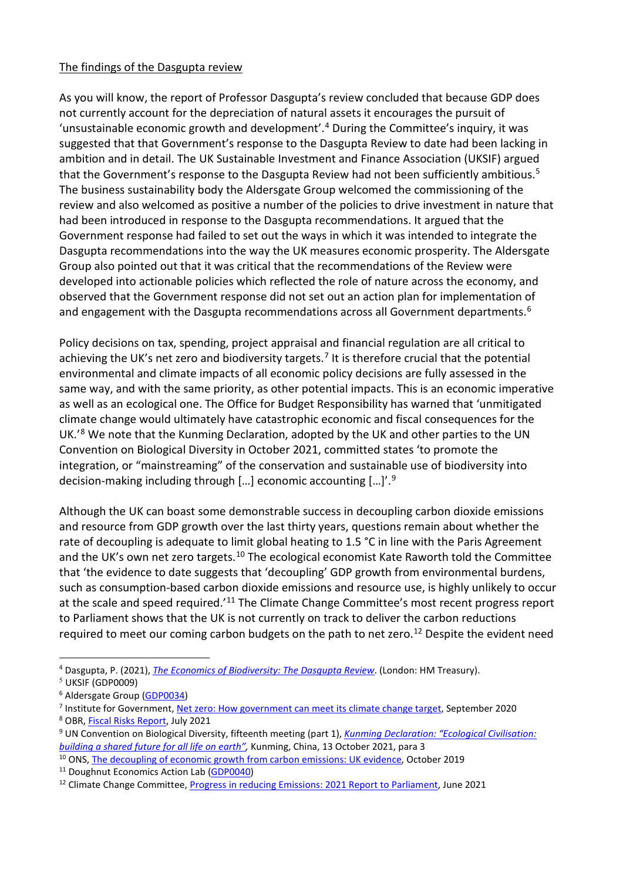#### The findings of the Dasgupta review

As you will know, the report of Professor Dasgupta's review concluded that because GDP does not currently account for the depreciation of natural assets it encourages the pursuit of 'unsustainable economic growth and development'.[4](#page-1-0) During the Committee's inquiry, it was suggested that that Government's response to the Dasgupta Review to date had been lacking in ambition and in detail. The UK Sustainable Investment and Finance Association (UKSIF) argued that the Government's response to the Dasgupta Review had not been sufficiently ambitious.<sup>[5](#page-1-1)</sup> The business sustainability body the Aldersgate Group welcomed the commissioning of the review and also welcomed as positive a number of the policies to drive investment in nature that had been introduced in response to the Dasgupta recommendations. It argued that the Government response had failed to set out the ways in which it was intended to integrate the Dasgupta recommendations into the way the UK measures economic prosperity. The Aldersgate Group also pointed out that it was critical that the recommendations of the Review were developed into actionable policies which reflected the role of nature across the economy, and observed that the Government response did not set out an action plan for implementation of and engagement with the Dasgupta recommendations across all Government departments.<sup>6</sup>

Policy decisions on tax, spending, project appraisal and financial regulation are all critical to achieving the UK's net zero and biodiversity targets.<sup>[7](#page-1-3)</sup> It is therefore crucial that the potential environmental and climate impacts of all economic policy decisions are fully assessed in the same way, and with the same priority, as other potential impacts. This is an economic imperative as well as an ecological one. The Office for Budget Responsibility has warned that 'unmitigated climate change would ultimately have catastrophic economic and fiscal consequences for the UK.<sup>'[8](#page-1-4)</sup> We note that the Kunming Declaration, adopted by the UK and other parties to the UN Convention on Biological Diversity in October 2021, committed states 'to promote the integration, or "mainstreaming" of the conservation and sustainable use of biodiversity into decision-making including through […] economic accounting […]'.[9](#page-1-5)

Although the UK can boast some demonstrable success in decoupling carbon dioxide emissions and resource from GDP growth over the last thirty years, questions remain about whether the rate of decoupling is adequate to limit global heating to 1.5 °C in line with the Paris Agreement and the UK's own net zero targets.<sup>[10](#page-1-6)</sup> The ecological economist Kate Raworth told the Committee that 'the evidence to date suggests that 'decoupling' GDP growth from environmental burdens, such as consumption-based carbon dioxide emissions and resource use, is highly unlikely to occur at the scale and speed required.<sup>'11</sup> The Climate Change Committee's most recent progress report to Parliament shows that the UK is not currently on track to deliver the carbon reductions required to meet our coming carbon budgets on the path to net zero.<sup>[12](#page-1-8)</sup> Despite the evident need

<span id="page-1-0"></span><sup>4</sup> Dasgupta, P. (2021), *[The Economics of Biodiversity: The Dasgupta Review](https://www.gov.uk/government/publications/final-report-the-economics-of-biodiversity-the-dasgupta-review)*. (London: HM Treasury).

<span id="page-1-1"></span> $<sup>5</sup>$  UKSIF (GDP0009)</sup>

<span id="page-1-3"></span><span id="page-1-2"></span><sup>&</sup>lt;sup>6</sup> Aldersgate Group [\(GDP0034\)](https://committees.parliament.uk/work/1668/aligning-the-uks-economic-goals-with-environmental-sustainability/publications/written-evidence/?SearchTerm=Aldersgate&DateFrom=&DateTo=&SessionId=)<br>
<sup>7</sup> Institute for Government, <u>Net zero: How government can meet its climate change target</u>, September 2020<br>
<sup>8</sup> OBR, <u>Fiscal Risks Report</u>, July 2021<br>
<sup>9</sup> UN Convention on Biological Divers

<span id="page-1-4"></span>

<span id="page-1-5"></span>*[building a shared future for all life on earth",](https://www.cbd.int/doc/c/c2db/972a/fb32e0a277bf1ccfff742be5/cop-15-05-add1-en.pdf)* Kunming, China, 13 October 2021, para 3

<span id="page-1-6"></span><sup>&</sup>lt;sup>10</sup> ONS, [The decoupling of economic growth from carbon emissions: UK evidence,](https://www.ons.gov.uk/economy/nationalaccounts/uksectoraccounts/compendium/economicreview/october2019/thedecouplingofeconomicgrowthfromcarbonemissionsukevidence) October 2019

<span id="page-1-8"></span><span id="page-1-7"></span><sup>&</sup>lt;sup>11</sup> Doughnut Economics Action Lab [\(GDP0040\)](https://committees.parliament.uk/writtenevidence/43722/pdf/)<br><sup>12</sup> Climate Change Committee[, Progress in reducing Emissions: 2021 Report to Parliament,](https://www.theccc.org.uk/wp-content/uploads/2021/06/Progress-in-reducing-emissions-2021-Report-to-Parliament.pdf) June 2021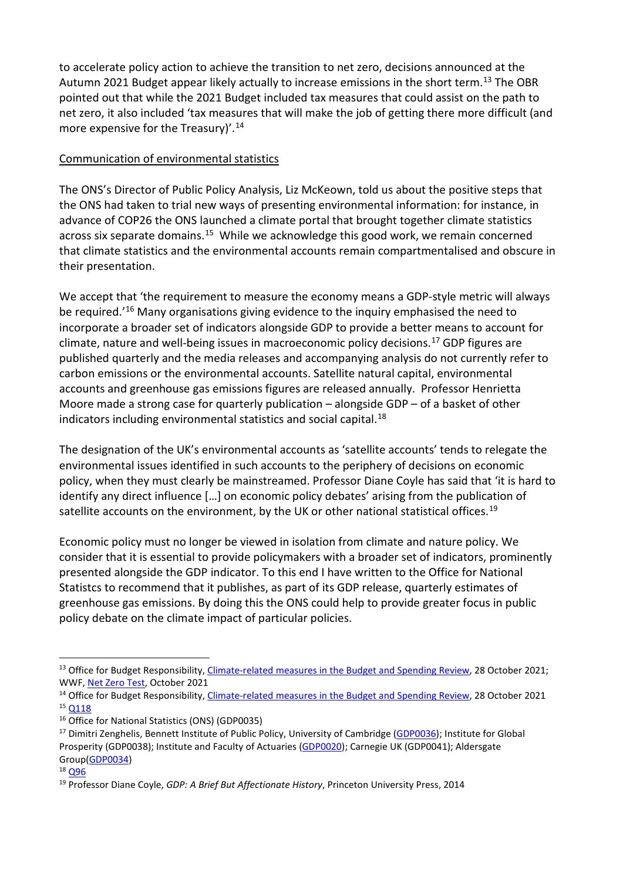to accelerate policy action to achieve the transition to net zero, decisions announced at the Autumn 2021 Budget appear likely actually to increase emissions in the short term.<sup>[13](#page-2-0)</sup> The OBR pointed out that while the 2021 Budget included tax measures that could assist on the path to net zero, it also included 'tax measures that will make the job of getting there more difficult (and more expensive for the Treasury)'.<sup>[14](#page-2-1)</sup>

## Communication of environmental statistics

The ONS's Director of Public Policy Analysis, Liz McKeown, told us about the positive steps that the ONS had taken to trial new ways of presenting environmental information: for instance, in advance of COP26 the ONS launched a climate portal that brought together climate statistics across six separate domains.<sup>[15](#page-2-2)</sup> While we acknowledge this good work, we remain concerned that climate statistics and the environmental accounts remain compartmentalised and obscure in their presentation.

We accept that 'the requirement to measure the economy means a GDP-style metric will always be required.<sup>'[16](#page-2-3)</sup> Many organisations giving evidence to the inquiry emphasised the need to incorporate a broader set of indicators alongside GDP to provide a better means to account for climate, nature and well-being issues in macroeconomic policy decisions. [17](#page-2-4) GDP figures are published quarterly and the media releases and accompanying analysis do not currently refer to carbon emissions or the environmental accounts. Satellite natural capital, environmental accounts and greenhouse gas emissions figures are released annually. Professor Henrietta Moore made a strong case for quarterly publication – alongside GDP – of a basket of other indicators including environmental statistics and social capital.<sup>[18](#page-2-5)</sup>

The designation of the UK's environmental accounts as 'satellite accounts' tends to relegate the environmental issues identified in such accounts to the periphery of decisions on economic policy, when they must clearly be mainstreamed. Professor Diane Coyle has said that 'it is hard to identify any direct influence […] on economic policy debates' arising from the publication of satellite accounts on the environment, by the UK or other national statistical offices.<sup>19</sup>

Economic policy must no longer be viewed in isolation from climate and nature policy. We consider that it is essential to provide policymakers with a broader set of indicators, prominently presented alongside the GDP indicator. To this end I have written to the Office for National Statistcs to recommend that it publishes, as part of its GDP release, quarterly estimates of greenhouse gas emissions. By doing this the ONS could help to provide greater focus in public policy debate on the climate impact of particular policies.

<span id="page-2-0"></span><sup>&</sup>lt;sup>13</sup> Office for Budget Responsibility, *Climate-related measures in the Budget and Spending Review*, 28 October 2021; WWF, [Net Zero Test,](https://www.wwf.org.uk/sites/default/files/2021-10/WWF_UK_NetZero_Full_Report_October2021.pdf) October 2021

<span id="page-2-2"></span><span id="page-2-1"></span><sup>&</sup>lt;sup>14</sup> Office for Budget Responsibility[, Climate-related measures in the Budget and Spending Review,](https://obr.uk/box/climate-related-measures-in-the-budget-and-spending-review/) 28 October 2021 <sup>15</sup> [Q118](https://committees.parliament.uk/oralevidence/9824/pdf/)

<span id="page-2-3"></span><sup>16</sup> Office for National Statistics (ONS) (GDP0035)

<span id="page-2-4"></span><sup>&</sup>lt;sup>17</sup> Dimitri Zenghelis, Bennett Institute of Public Policy, University of Cambridge [\(GDP0036\)](https://committees.parliament.uk/writtenevidence/43593/pdf/); Institute for Global Prosperity (GDP0038); Institute and Faculty of Actuaries [\(GDP0020\)](https://committees.parliament.uk/work/1668/aligning-the-uks-economic-goals-with-environmental-sustainability/publications/written-evidence/?SearchTerm=Actuaries&DateFrom=&DateTo=&SessionId=); Carnegie UK (GDP0041); Aldersgate Group(<u>GDP0034</u>)<br><sup>18</sup> <u>Q96</u><br><sup>19</sup> Professor Diane Coyle, *GDP: A Brief But Affectionate History*, Princeton University Press, 2014

<span id="page-2-5"></span>

<span id="page-2-6"></span>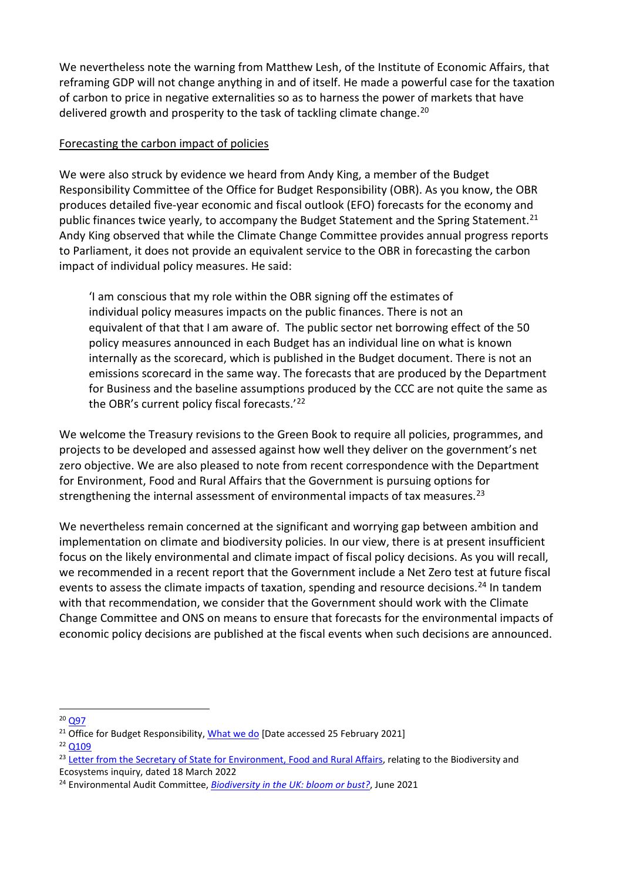We nevertheless note the warning from Matthew Lesh, of the Institute of Economic Affairs, that reframing GDP will not change anything in and of itself. He made a powerful case for the taxation of carbon to price in negative externalities so as to harness the power of markets that have delivered growth and prosperity to the task of tackling climate change.<sup>20</sup>

## Forecasting the carbon impact of policies

We were also struck by evidence we heard from Andy King, a member of the Budget Responsibility Committee of the Office for Budget Responsibility (OBR). As you know, the OBR produces detailed five-year economic and fiscal outlook (EFO) forecasts for the economy and public finances twice yearly, to accompany the Budget Statement and the Spring Statement.<sup>[21](#page-3-1)</sup> Andy King observed that while the Climate Change Committee provides annual progress reports to Parliament, it does not provide an equivalent service to the OBR in forecasting the carbon impact of individual policy measures. He said:

'I am conscious that my role within the OBR signing off the estimates of individual policy measures impacts on the public finances. There is not an equivalent of that that I am aware of. The public sector net borrowing effect of the 50 policy measures announced in each Budget has an individual line on what is known internally as the scorecard, which is published in the Budget document. There is not an emissions scorecard in the same way. The forecasts that are produced by the Department for Business and the baseline assumptions produced by the CCC are not quite the same as the OBR's current policy fiscal forecasts.'[22](#page-3-2) 

We welcome the Treasury revisions to the Green Book to require all policies, programmes, and projects to be developed and assessed against how well they deliver on the government's net zero objective. We are also pleased to note from recent correspondence with the Department for Environment, Food and Rural Affairs that the Government is pursuing options for strengthening the internal assessment of environmental impacts of tax measures.<sup>23</sup>

We nevertheless remain concerned at the significant and worrying gap between ambition and implementation on climate and biodiversity policies. In our view, there is at present insufficient focus on the likely environmental and climate impact of fiscal policy decisions. As you will recall, we recommended in a recent report that the Government include a Net Zero test at future fiscal events to assess the climate impacts of taxation, spending and resource decisions.<sup>[24](#page-3-4)</sup> In tandem with that recommendation, we consider that the Government should work with the Climate Change Committee and ONS on means to ensure that forecasts for the environmental impacts of economic policy decisions are published at the fiscal events when such decisions are announced.

<span id="page-3-0"></span><sup>20</sup> [Q97](https://committees.parliament.uk/oralevidence/9824/pdf/)

<span id="page-3-2"></span><sup>22</sup> [Q109](https://committees.parliament.uk/oralevidence/9824/pdf/)

<span id="page-3-1"></span><sup>&</sup>lt;sup>21</sup> Office for Budget Responsibility[, What we do](https://obr.uk/about-the-obr/what-we-do/#:%7E:text=We%20produce%20detailed%20five%2Dyear,Statement%20(usually%20in%20March).) [Date accessed 25 February 2021]

<span id="page-3-3"></span><sup>&</sup>lt;sup>23</sup> [Letter from the Secretary of State for Environment, Food and Rural Affairs,](https://committees.parliament.uk/publications/9437/documents/161287/default/) relating to the Biodiversity and Ecosystems inquiry, dated 18 March 2022

<span id="page-3-4"></span><sup>24</sup> Environmental Audit Committee, *[Biodiversity in the UK: bloom or bust?](https://committees.parliament.uk/publications/6498/documents/70656/default/)*, June 2021